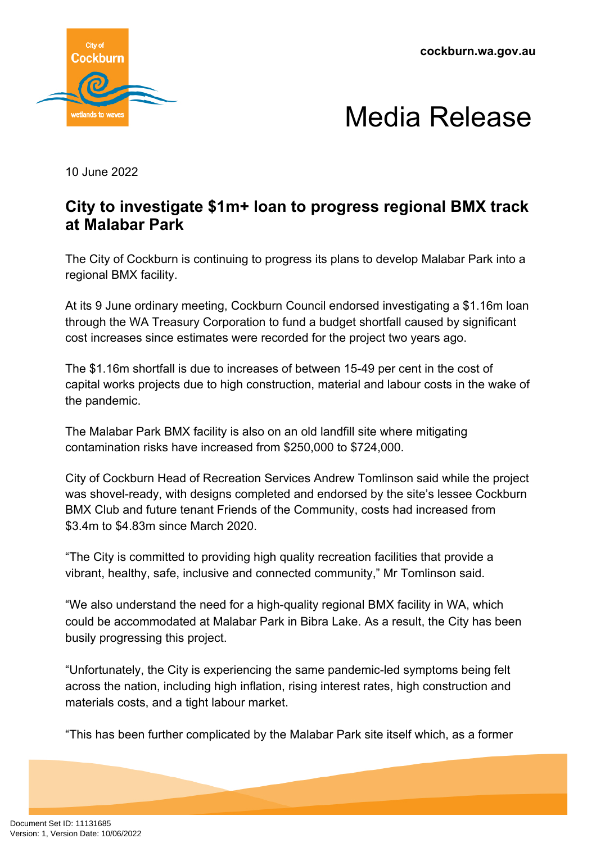**cockburn.wa.gov.au**





10 June 2022

## **City to investigate \$1m+ loan to progress regional BMX track at Malabar Park**

The City of Cockburn is continuing to progress its plans to develop Malabar Park into a regional BMX facility.

At its 9 June ordinary meeting, Cockburn Council endorsed investigating a \$1.16m loan through the WA Treasury Corporation to fund a budget shortfall caused by significant cost increases since estimates were recorded for the project two years ago.

The \$1.16m shortfall is due to increases of between 15-49 per cent in the cost of capital works projects due to high construction, material and labour costs in the wake of the pandemic.

The Malabar Park BMX facility is also on an old landfill site where mitigating contamination risks have increased from \$250,000 to \$724,000.

City of Cockburn Head of Recreation Services Andrew Tomlinson said while the project was shovel-ready, with designs completed and endorsed by the site's lessee Cockburn BMX Club and future tenant Friends of the Community, costs had increased from \$3.4m to \$4.83m since March 2020.

"The City is committed to providing high quality recreation facilities that provide a vibrant, healthy, safe, inclusive and connected community," Mr Tomlinson said.

"We also understand the need for a high-quality regional BMX facility in WA, which could be accommodated at Malabar Park in Bibra Lake. As a result, the City has been busily progressing this project.

"Unfortunately, the City is experiencing the same pandemic-led symptoms being felt across the nation, including high inflation, rising interest rates, high construction and materials costs, and a tight labour market.

"This has been further complicated by the Malabar Park site itself which, as a former